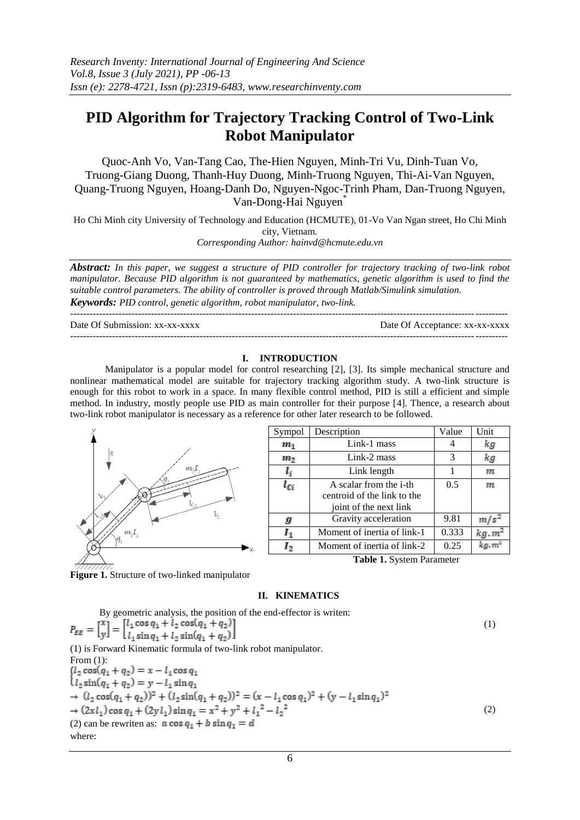# **PID Algorithm for Trajectory Tracking Control of Two-Link Robot Manipulator**

Quoc-Anh Vo, Van-Tang Cao, The-Hien Nguyen, Minh-Tri Vu, Dinh-Tuan Vo, Truong-Giang Duong, Thanh-Huy Duong, Minh-Truong Nguyen, Thi-Ai-Van Nguyen, Quang-Truong Nguyen, Hoang-Danh Do, Nguyen-Ngoc-Trinh Pham, Dan-Truong Nguyen, Van-Dong-Hai Nguyen\*

Ho Chi Minh city University of Technology and Education (HCMUTE), 01-Vo Van Ngan street, Ho Chi Minh city, Vietnam.

*Corresponding Author: hainvd@hcmute.edu.vn*

*Abstract: In this paper, we suggest a structure of PID controller for trajectory tracking of two-link robot manipulator. Because PID algorithm is not guaranteed by mathematics, genetic algorithm is used to find the suitable control parameters. The ability of controller is proved through Matlab/Simulink simulation. Keywords: PID control, genetic algorithm, robot manipulator, two-link.*

--------------------------------------------------------------------------------------------------------------------------------------- Date Of Submission: xx-xx-xxxx Date Of Acceptance: xx-xx-xxxx

---------------------------------------------------------------------------------------------------------------------------------------

## **I. INTRODUCTION**

Manipulator is a popular model for control researching [2], [3]. Its simple mechanical structure and nonlinear mathematical model are suitable for trajectory tracking algorithm study. A two-link structure is enough for this robot to work in a space. In many flexible control method, PID is still a efficient and simple method. In industry, mostly people use PID as main controller for their purpose [4]. Thence, a research about two-link robot manipulator is necessary as a reference for other later research to be followed.



| Sympol                           | Description                    | Value | Unit           |  |
|----------------------------------|--------------------------------|-------|----------------|--|
| $\boldsymbol{m}_1$               | Link-1 mass                    | 4     | kд             |  |
| m <sub>2</sub>                   | Link-2 mass                    | 3     | kg             |  |
| $l_i$                            | Link length                    | 1     | m              |  |
| l <sub>Ci</sub>                  | A scalar from the <i>i</i> -th | 0.5   | m              |  |
|                                  | centroid of the link to the    |       |                |  |
|                                  | joint of the next link         |       |                |  |
| g                                | Gravity acceleration           | 9.81  | m/s            |  |
| ı,                               | Moment of inertia of link-1    | 0.333 | $kg \cdot m^2$ |  |
| 12                               | Moment of inertia of link-2    | 0.25  | kg.m           |  |
| <b>Table 1. System Parameter</b> |                                |       |                |  |

**Figure 1.** Structure of two-linked manipulator

## **II. KINEMATICS**

| By geometric analysis, the position of the end-effector is writen:                                                                                                                          |     |
|---------------------------------------------------------------------------------------------------------------------------------------------------------------------------------------------|-----|
| $P_{EE} = \begin{bmatrix} x \\ y \end{bmatrix} = \begin{bmatrix} l_1 \cos q_1 + l_2 \cos(q_1 + q_2) \\ l_1 \sin q_1 + l_2 \sin(q_1 + q_2) \end{bmatrix}$                                    | (1) |
| (1) is Forward Kinematic formula of two-link robot manipulator.                                                                                                                             |     |
| From $(1)$ :                                                                                                                                                                                |     |
| $(l_2 \cos(q_1 + q_2)) = x - l_1 \cos q_1$                                                                                                                                                  |     |
| $l_2 \sin(q_1 + q_2) = y - l_1 \sin q_1$                                                                                                                                                    |     |
| $\rightarrow (l_2 \cos(q_1 + q_2))^2 + (l_2 \sin(q_1 + q_2))^2 = (x - l_1 \cos q_1)^2 + (y - l_1 \sin q_1)^2$                                                                               |     |
| $\rightarrow$ (2xl <sub>1</sub> ) cos q <sub>1</sub> + (2yl <sub>1</sub> ) sin q <sub>1</sub> = x <sup>2</sup> + y <sup>2</sup> + l <sub>1</sub> <sup>2</sup> - l <sub>2</sub> <sup>2</sup> | (2) |
| (2) can be rewriten as: $\mathbf{a} \cos q_1 + \mathbf{b} \sin q_1 = \mathbf{d}$                                                                                                            |     |
| where:                                                                                                                                                                                      |     |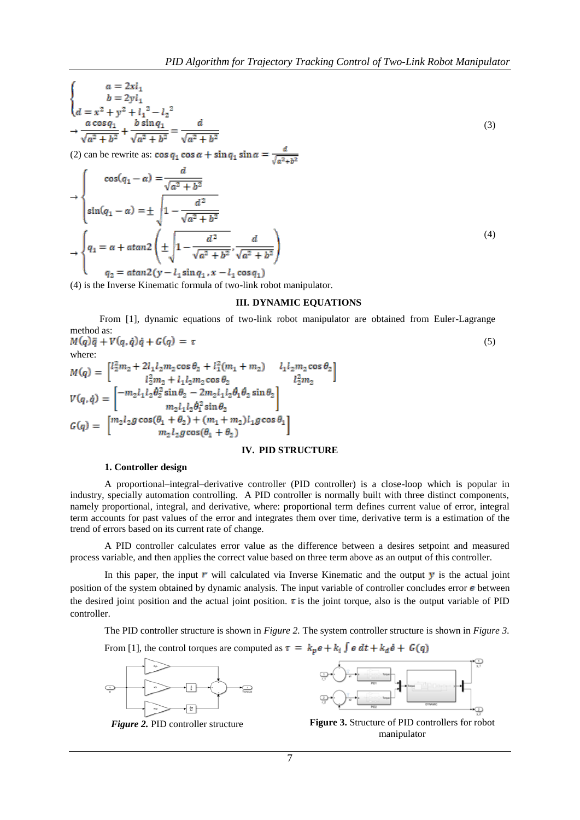$$
\begin{cases}\n a = 2x l_1 \\
 b = 2y l_1 \\
 d = x^2 + y^2 + l_1^2 - l_2^2 \\
 \frac{a \cos q_1}{\sqrt{a^2 + b^2}} + \frac{b \sin q_1}{\sqrt{a^2 + b^2}} = \frac{d}{\sqrt{a^2 + b^2}}\n\end{cases}
$$
\n(3)

(2) can be rewrite as:  $\cos q_1 \cos \alpha + \sin q_1 \sin \alpha = \frac{a}{\sqrt{a^2+b^2}}$ 

$$
\Rightarrow \begin{cases}\n\cos(q_1 - a) = \frac{a}{\sqrt{a^2 + b^2}} \\
\sin(q_1 - a) = \pm \sqrt{1 - \frac{d^2}{\sqrt{a^2 + b^2}}}\n\end{cases}
$$
\n
$$
\Rightarrow \begin{cases}\nq_1 = a + \alpha \tan 2 \left( \pm \sqrt{1 - \frac{d^2}{\sqrt{a^2 + b^2}}}, \frac{d}{\sqrt{a^2 + b^2}} \right) \\
q_2 = \alpha \tan 2 (y - l_1 \sin q_1, x - l_1 \cos q_1)\n\end{cases}
$$
\n(4)

(4) is the Inverse Kinematic formula of two-link robot manipulator.

### **III. DYNAMIC EQUATIONS**

From [1], dynamic equations of two-link robot manipulator are obtained from Euler-Lagrange method as: (5)

$$
M(q)\ddot{q} + V(q, \dot{q})\dot{q} + G(q) = \tau
$$
\nwhere:  
\n
$$
M(q) = \begin{bmatrix} l_2^2 m_2 + 2l_1 l_2 m_2 \cos \theta_2 + l_1^2 (m_1 + m_2) & l_1 l_2 m_2 \cos \theta_2 \\ l_2^2 m_2 + l_1 l_2 m_2 \cos \theta_2 & l_2^2 m_2 \end{bmatrix}
$$
\n
$$
V(q, \dot{q}) = \begin{bmatrix} -m_2 l_1 l_2 \dot{\theta}_2^2 \sin \theta_2 - 2m_2 l_1 l_2 \dot{\theta}_1 \dot{\theta}_2 \sin \theta_2 \\ m_2 l_1 l_2 \dot{\theta}_1^2 \sin \theta_2 \end{bmatrix}
$$
\n
$$
G(q) = \begin{bmatrix} m_2 l_2 g \cos(\theta_1 + \theta_2) + (m_1 + m_2) l_1 g \cos \theta_1 \\ m_2 l_2 g \cos(\theta_1 + \theta_2) \end{bmatrix}
$$
\n(5)

#### **IV. PID STRUCTURE**

#### **1. Controller design**

A proportional–integral–derivative controller (PID controller) is a close-loop which is popular in industry, specially automation controlling. A PID controller is normally built with three distinct components, namely proportional, integral, and derivative, where: proportional term defines current value of error, integral term accounts for past values of the error and integrates them over time, derivative term is a estimation of the trend of errors based on its current rate of change.

A PID controller calculates error value as the difference between a desires setpoint and measured process variable, and then applies the correct value based on three term above as an output of this controller.

In this paper, the input  $\bm{r}$  will calculated via Inverse Kinematic and the output  $\bm{y}$  is the actual joint position of the system obtained by dynamic analysis. The input variable of controller concludes error  $\epsilon$  between the desired joint position and the actual joint position.  $\tau$  is the joint torque, also is the output variable of PID controller.

The PID controller structure is shown in *Figure 2.* The system controller structure is shown in *Figure 3.*

From [1], the control torques are computed as  $\tau = k_p e + k_i \int e dt + k_d \dot{e} + G(q)$ 





**Figure 2. PID controller structure <b>Figure 3.** Structure of PID controllers for robot manipulator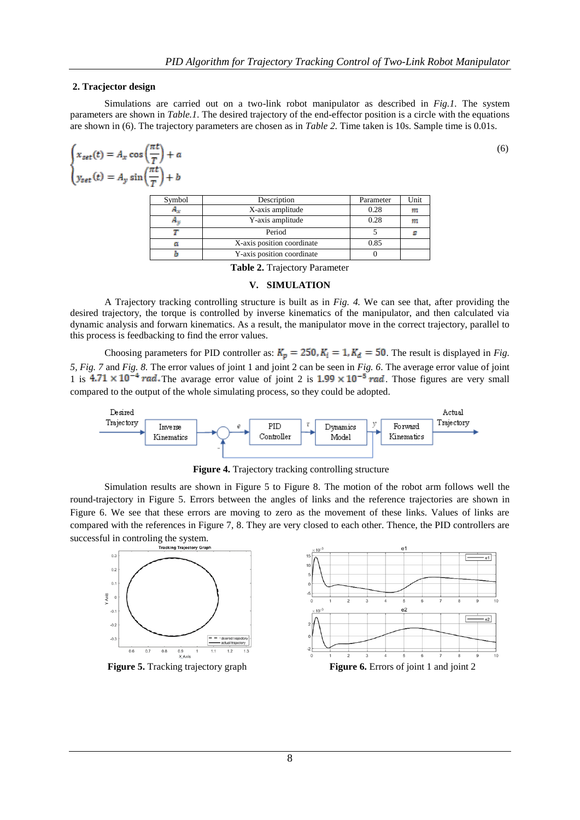(6)

#### **2. Tracjector design**

Simulations are carried out on a two-link robot manipulator as described in *Fig.1.* The system parameters are shown in *Table.1*. The desired trajectory of the end-effector position is a circle with the equations are shown in (6). The trajectory parameters are chosen as in *Table 2.* Time taken is 10s. Sample time is 0.01s.

$$
\begin{cases}\nx_{\text{set}}(t) = A_x \cos\left(\frac{\pi t}{T}\right) + a \\
y_{\text{set}}(t) = A_y \sin\left(\frac{\pi t}{T}\right) + b\n\end{cases}
$$
\n
$$
\text{Sumbel} \qquad \text{Description:}
$$

| Symbol | Description                | Parameter | Unit |
|--------|----------------------------|-----------|------|
| 23 y   | X-axis amplitude           | 0.28      | m    |
| . .    | Y-axis amplitude           | 0.28      | m    |
|        | Period                     |           |      |
| a      | X-axis position coordinate | 0.85      |      |
|        | Y-axis position coordinate |           |      |

**Table 2.** Trajectory Parameter

#### **V. SIMULATION**

A Trajectory tracking controlling structure is built as in *Fig. 4.* We can see that, after providing the desired trajectory, the torque is controlled by inverse kinematics of the manipulator, and then calculated via dynamic analysis and forwarn kinematics. As a result, the manipulator move in the correct trajectory, parallel to this process is feedbacking to find the error values.

Choosing parameters for PID controller as:  $K_p = 250$ ,  $K_i = 1$ ,  $K_d = 50$ . The result is displayed in *Fig. 5, Fig. 7* and *Fig. 8.* The error values of joint 1 and joint 2 can be seen in *Fig. 6*. The average error value of joint 1 is  $4.71 \times 10^{-4}$  rad. The avarage error value of joint 2 is  $1.99 \times 10^{-5}$  rad. Those figures are very small compared to the output of the whole simulating process, so they could be adopted.



**Figure 4.** Trajectory tracking controlling structure

Simulation results are shown in Figure 5 to Figure 8. The motion of the robot arm follows well the round-trajectory in Figure 5. Errors between the angles of links and the reference trajectories are shown in Figure 6. We see that these errors are moving to zero as the movement of these links. Values of links are compared with the references in Figure 7, 8. They are very closed to each other. Thence, the PID controllers are successful in controling the system.



8